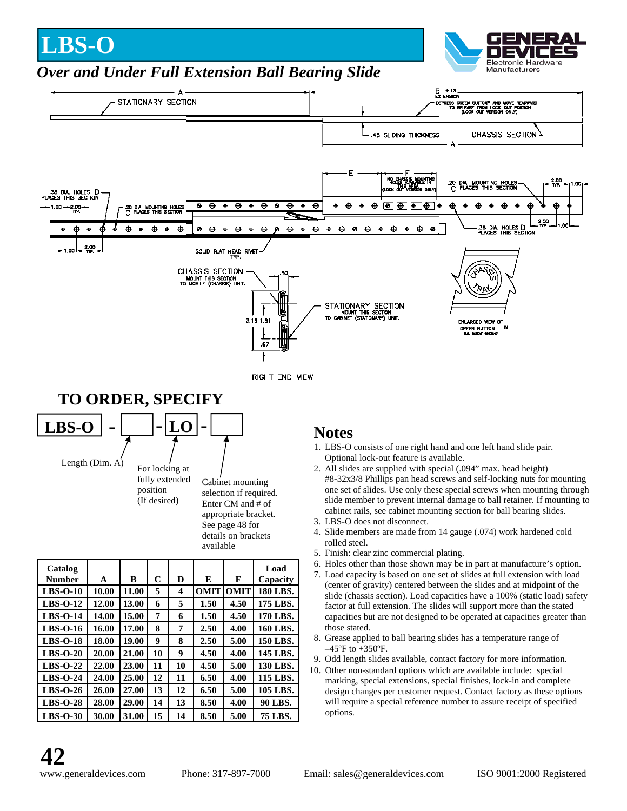## **LBS-O**



## *Over and Under Full Extension Ball Bearing Slide*

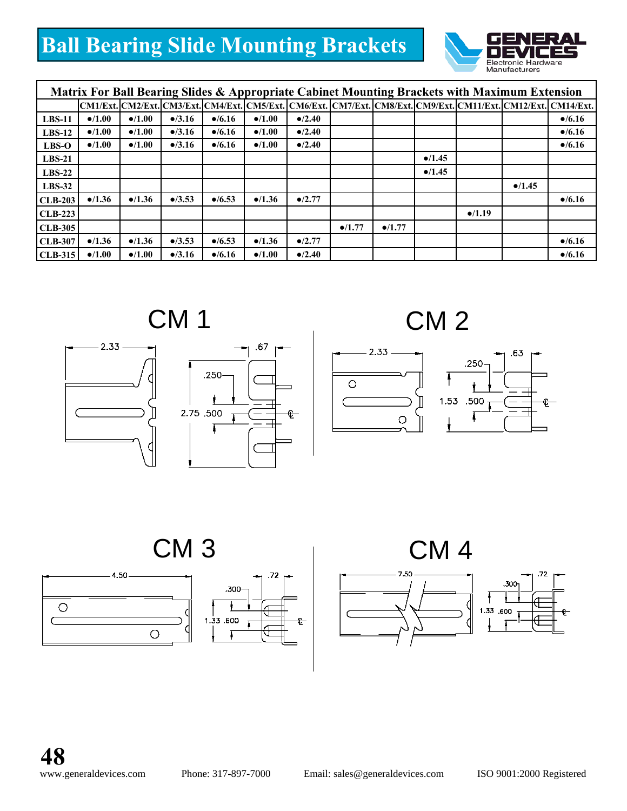## **Ball Bearing Slide Mounting Brackets**



| Matrix For Ball Bearing Slides & Appropriate Cabinet Mounting Brackets with Maximum Extension |                 |                 |                 |                 |                 |                 |                 |                 |                 |                 |                 |                                                                                                                |
|-----------------------------------------------------------------------------------------------|-----------------|-----------------|-----------------|-----------------|-----------------|-----------------|-----------------|-----------------|-----------------|-----------------|-----------------|----------------------------------------------------------------------------------------------------------------|
|                                                                                               |                 |                 |                 |                 |                 |                 |                 |                 |                 |                 |                 | CM1/Ext.]CM2/Ext.]CM3/Ext.]CM4/Ext.]CM5/Ext.]CM6/Ext.]CM7/Ext.]CM8/Ext.]CM9/Ext.]CM11/Ext.]CM12/Ext.]CM14/Ext. |
| $LBS-11$                                                                                      | $\bullet$ /1.00 | $\bullet$ /1.00 | $\bullet$ /3.16 | $\bullet$ /6.16 | $\bullet$ /1.00 | $\bullet$ /2.40 |                 |                 |                 |                 |                 | $\bullet$ /6.16                                                                                                |
| $LBS-12$                                                                                      | $\bullet$ /1.00 | $\bullet$ /1.00 | $\bullet$ /3.16 | $\bullet$ /6.16 | $\bullet$ /1.00 | $\bullet$ /2.40 |                 |                 |                 |                 |                 | $\bullet$ /6.16                                                                                                |
| $LBS-O$                                                                                       | $\bullet$ /1.00 | $\bullet$ /1.00 | $\bullet$ /3.16 | $\bullet$ /6.16 | $\bullet$ /1.00 | $\bullet$ /2.40 |                 |                 |                 |                 |                 | $\bullet$ /6.16                                                                                                |
| $LBS-21$                                                                                      |                 |                 |                 |                 |                 |                 |                 |                 | $\bullet$ /1.45 |                 |                 |                                                                                                                |
| $LBS-22$                                                                                      |                 |                 |                 |                 |                 |                 |                 |                 | •/1.45          |                 |                 |                                                                                                                |
| $LBS-32$                                                                                      |                 |                 |                 |                 |                 |                 |                 |                 |                 |                 | $\bullet$ /1.45 |                                                                                                                |
| <b>CLB-203</b>                                                                                | •/1.36          | •/1.36          | $\bullet$ /3.53 | $\bullet$ /6.53 | $\bullet$ /1.36 | $\bullet$ /2.77 |                 |                 |                 |                 |                 | $\bullet$ /6.16                                                                                                |
| $CLB-223$                                                                                     |                 |                 |                 |                 |                 |                 |                 |                 |                 | $\bullet$ /1.19 |                 |                                                                                                                |
| $CLB-305$                                                                                     |                 |                 |                 |                 |                 |                 | $\bullet$ /1.77 | $\bullet$ /1.77 |                 |                 |                 |                                                                                                                |
| <b>CLB-307</b>                                                                                | •/1.36          | •/1.36          | $\bullet$ /3.53 | $\bullet$ /6.53 | •/1.36          | $\bullet$ /2.77 |                 |                 |                 |                 |                 | $\bullet$ /6.16                                                                                                |
| $CLB-315$                                                                                     | $\bullet$ /1.00 | $\bullet$ /1.00 | $\bullet$ /3.16 | $\bullet$ /6.16 | $\bullet$ /1.00 | $\bullet$ /2.40 |                 |                 |                 |                 |                 | $\bullet$ /6.16                                                                                                |







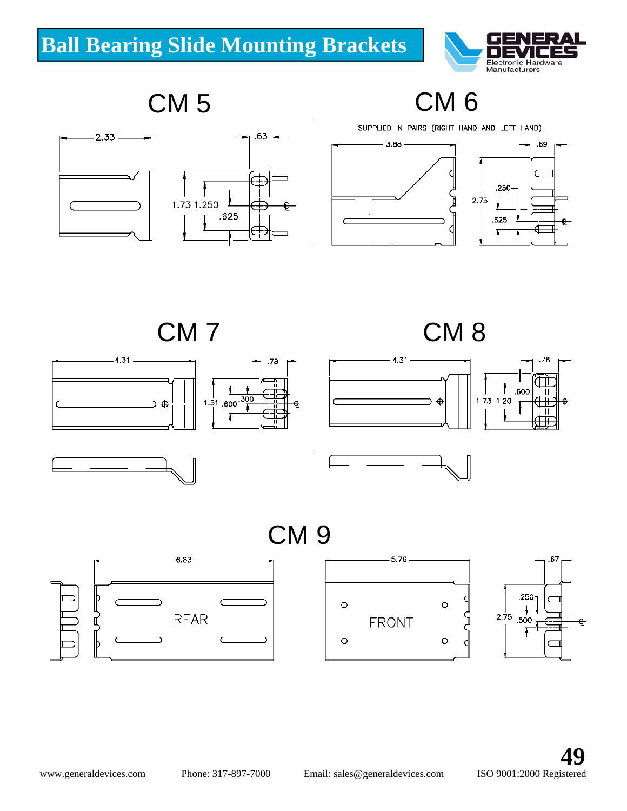

CM 5 CM 6





SUPPLIED IN PAIRS (RIGHT HAND AND LEFT HAND)